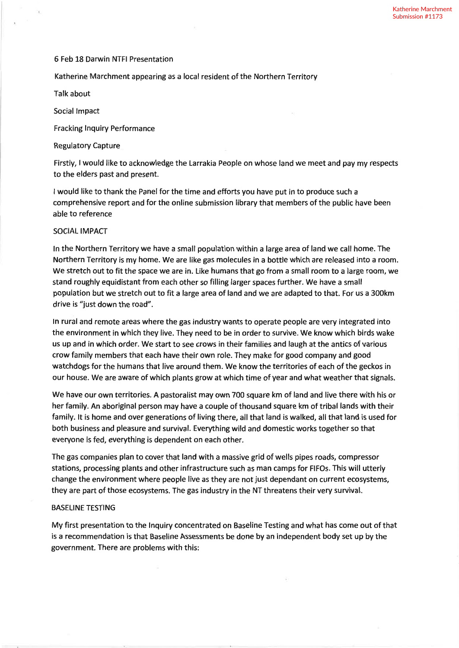### 6 Feb 18 Darwin NTFI Presentation

Katherine Marchment appearing as a local resident of the Northern Territory

Talk about

Social lmpact

Fracking lnquiry Performance

Regulatory Capture

Firstly, I would like to acknowledge the Larrakia People on whose land we meet and pay my respects to the elders past and present.

<sup>I</sup>would like to thank the Panel for the time and efforts you have put in to produce such <sup>a</sup> comprehensive report and for the online submission library that members of the public have been able to reference

## SOCIAL IMPACT

ln the Northern Territory we have a small population within a large area of land we call home. The Northern Territory is my home. We are like gas molecules in a bottle which are released into a room. We stretch out to fit the space we are in. Like humans that go from a small room to a large room, we stand roughly equidistant from each other so filling larger spaces further. We have a small population but we stretch out to fit a large area of land and we are adapted to that. For us a 300km drive is "just down the road".

ln rural and remote areas where the gas industry wants to operate people are very integrated into the environment in which they live. They need to be in order to survive. We know which birds wake us up and in which order. We start to see crows in their families and laugh at the antics of various crow family members that each have their own role. They make for good company and good watchdogs for the humans that live around them. We know the territories of each of the geckos in our house. We are aware of which plants grow at which time of year and what weather that signals.

We have our own territories. A pastoralist may own 700 square km of land and live there with his or her family. An aboriginal person may have a couple of thousand square km of tribal lands wíth their family. lt is home and over generations of living there, all that land is walked, all that land is used for both business and pleasure and survival. Everything wild and domestic works together so that everyone is fed, everything is dependent on each other.

The gas companies plan to cover that land with a massive grid of wells pipes roads, compressor stations, processing plants and other infrastructure such as man camps for FlFOs. This will utterly change the environment where people live as they are not just dependant on current ecosystems, they are part of those ecosystems. The gas industry in the NT threatens their very survival.

# BASELINE TESTING

My first presentation to the Inquiry concentrated on Baseline Testing and what has come out of that is a recommendation is that Baseline Assessments be done by an independent body set up by the government. There are problems with this: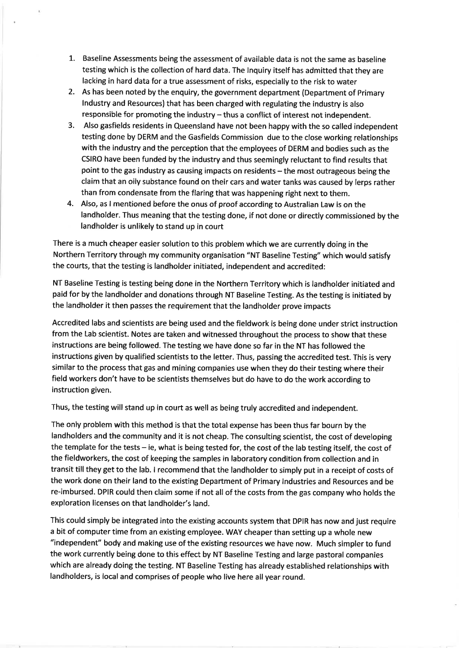- L. Baseline Assessments being the assessment of available data is not the same as baseline testing which is the collection of hard data. The lnquiry itself has admitted that they are lacking in hard data for a true assessment of risks, especially to the risk to water
- 2. As has been noted by the enquiry, the government department (Department of Primary lndustry and Resources) that has been charged with regulating the industry is also responsible for promoting the industry  $-$  thus a conflict of interest not independent.
- 3. Also gasfields residents in Queensland have not been happy with the so called independent testing done by DERM and the Gasfields Commission due to the close working relationships with the industry and the perception that the employees of DERM and bodies such as the CSIRO have been funded by the industry and thus seemingly reluctant to find results that point to the gas industry as causing impacts on residents - the most outrageous being the claim that an oily substance found on their cars and water tanks was caused by lerps rather than from condensate from the flaring that was happening right next to them.
- 4. Also, as I mentioned before the onus of proof according to Australian Law is on the landholder. Thus meaning that the testing done, if not done or directly commíssioned by the landholder is unlikely to stand up in court

There is a much cheaper easier solution to this problem which we are currently doing in the Northern Territory through my community organisation "NT Baseline Testing" which would satisfy the courts, that the testing is landholder initiated, independent and accredited:

NT Baseline Testing is testing being done in the Northern Territory which is landholder initiated and paid for by the landholder and donations through NT Baseline Testing. As the testing is initiated by the landholder it then passes the requirement that the landholder prove impacts

Accredited labs and scientists are being used and the fieldwork is being done under strict instruction from the Lab scientist. Notes are taken and witnessed throughout the process to show that these instructions are being followed. The testing we have done so far in the NT has followed the instructions given by qualified scientists to the letter. Thus, passing the accredited test. This is very similar to the process that gas and mining companies use when they do their testing where their field workers don't have to be scientists themselves but do have to do the work according to instruction given.

Thus, the testing will stand up in court as well as being truly accredited and independent.

The only problem with this method is that the total expense has been thus far bourn by the landholders and the community and it is not cheap. The consulting scientist, the cost of developing the template for the tests - ie, what is being tested for, the cost of the lab testing itself, the cost of the fieldworkers, the cost of keeping the samples in laboratory condition from collection and in transit till they get to the lab. I recommend that the landholder to simply put in a receipt of costs of the work done on their land to the existing Department of Primary lndustries and Resources and be re-imbursed. DPIR could then claim some if not all of the costs from the gas company who holds the exploration licenses on that landholder's land.

This could simply be integrated into the existing accounts system that DPIR has now and just require a bit of computer time from an existing employee. WAY cheaper than setting up a whole new "independent" body and making use of the existing resources we have now. Much simpler to fund the work currently being done to this effect by NT Baseline Testing and large pastoral companies which are already doing the testing. NT Baseline Testing has already established relationships with landholders, is local and comprises of people who live here all year round.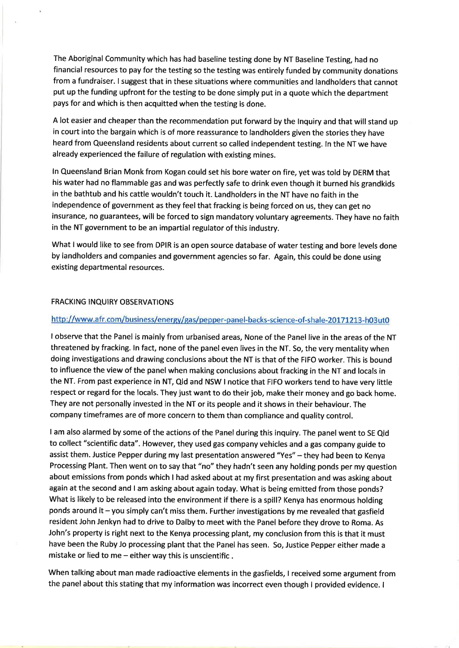The Aboriginal Communíty which has had baseline testing done by NT Baseline Testing, had no financial resources to pay for the testing so the testing was entirely funded by community donations from a fundraiser. I suggest that in these situations where communities and landholders that cannot put up the funding upfront for the testing to be done simply put in a quote which the department pays for and which is then acquitted when the testing is done.

A lot easier and cheaper than the recommendation put forward by the Inquiry and that will stand up in court into the bargain which is of more reassurance to landholders given the stories they have heard from Queensland residents about current so called independent testing. ln the NT we have already experienced the failure of regulation with existing mines.

ln Queensland Brian Monk from Kogan could set hís bore water on fíre, yet was told by DERM that his water had no flammable gas and was perfectly safe to drink even though it burned his grandkids in the bathtub and his cattle wouldn't touch it. Landholders in the NT have no faith in the independence of government as they feel that fracking is being forced on us, they can get no insurance, no guarantees, will be forced to sign mandatory voluntary agreements. They have no faith in the NT government to be an impartial regulator of this industry.

What I would like to see from DPIR is an open source database of water testing and bore levels done by landholders and companies and government agencies so far. Again, this could be done using existing departmental resources.

### FRACKING INQUIRY OBSERVATIONS

### http://www.afr.com/business/energy/gas/pepper-panel-backs-science-of-shale-20171213-h03ut0

<sup>I</sup>observe that the Panel is mainly from urbanised areas, None of the Panel live in the areas of the NT threatened by fracking. ln fact, none of the panel even lives in the NT. So, the very mentality when doing investigations and drawing conclusions about the NT is that of the FIFO worker. This is bound to influence the view of the panel when making conclusions about fracking in the NT and locals in the NT. From past experience in NT, Qld and NSW I notice that FIFO workers tend to have very little respect or regard for the locals. They just want to do their job, make their money and go back home. They are not personally invested in the NT or its people and it shows in their behaviour. The company timeframes are of more concern to them than compliance and quality control.

<sup>I</sup>am also alarmed by some of the actions of the Panel during this inquiry. The panel went to SE Qld to collect "scientific data". However, they used gas company vehicles and a gas company guide to assist them. Justice Pepper during my last presentation answered "Yes" - they had been to Kenya Processing Plant. Then went on to say that "no" they hadn't seen any holding ponds per my question about emissions from ponds which I had asked about at my first presentation and was asking about again at the second and I am asking about again today. What is being emitted from those ponds? What is likely to be released into the environment if there is a spill? Kenya has enormous holding ponds around it  $-$  you simply can't miss them. Further investigations by me revealed that gasfield resident John Jenkyn had to drive to Dalby to meet with the Panel before they drove to Roma. As John's property is right next to the Kenya processing plant, my conclusion from this is that it must have been the Ruby Jo processing plant that the Panel has seen. So, Justice Pepper either made <sup>a</sup> mistake or lied to me  $-$  either way this is unscientific.

When talking about man made radioactive elements in the gasfields, I received some argument from the panel about this stating that my information was incorrect even though I provided evidence. I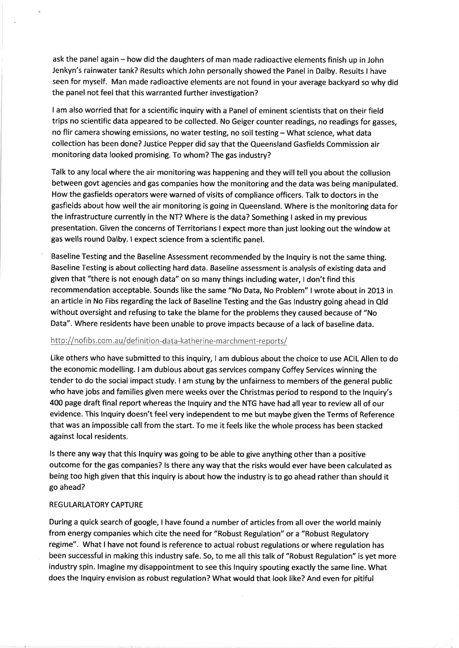ask the panel again - how did the daughters of man made radioactive elements finish up in John Jenkyn's rainwater tank? Results which John personally showed the Panel în Dalby. Results I have seen for myself. Man made radioactive elements are not found in your average backyard so why did the panel not feel that this warranted further investigation?

<sup>I</sup>am also worried that for a scientific inquiry with a Panel of eminent scientists that on their field trips no scientific data appeared to be collected. No Geiger counter readings, no readings for gasses, no flir camera showing emissions, no water testing, no soil testing - What science, what data collection has been done? Justice Pepper did say that the Queensland Gasfields Commission air monitoring data looked promising. To whom? The gas industry?

Talk to any local where the air monitoring was happening and they will tell you about the collusion between govt agencies and gas companies how the monitoring and the data was being manipulated. How the gasfields operators were warned of visits of compliance officers. Talk to doctors in the gasfields about how well the air monitoring is going in Queensland. Where is the monitoring data for the infrastructure currently in the NT? Where is the data? Something I asked in my previous presentation. Given the concerns of Territorians I expect more than just looking out the window at gas wells round Dalby. I expect science from a scientific panel.

Baseline Testing and the Baseline Assessment recommended by the lnquiry is not the same thing. Baseline Testing is about collecting hard data. Baseline assessment is analysis of existing data and given that "there is not enough data" on so many things including water, I don't find this recommendation acceptable. Sounds like the same "No Data, No Problem" I wrote about in 2013 in an article in No Fibs regarding the lack of Baseline Testing and the Gas lndustry going ahead in Qld without oversight and refusing to take the blame for the problems they caused because of "No Data". Where residents have been unable to prove impacts because of a lack of baseline data.

## http://nofibs.com.au/definition-data-katherine-marchment-reports/

Like others who have submitted to this inquiry, I am dubious about the choice to use ACIL Allen to do the economic modelling. I am dubious about gas services company Coffey Services winning the tender to do the social impact study. I am stung by the unfairness to members of the general public who have jobs and families given mere weeks over the Christmas period to respond to the lnquiry's 400 page draft final report whereas the lnquiry and the NTG have had all year to review all of our evidence. This Inquiry doesn't feel very independent to me but maybe given the Terms of Reference that was an impossible call from the start. To me it feels like the whole process has been stacked against local residents.

ls there any way that this lnquiry was going to be able to give anything other than a positive outcome for the gas companies? ls there any way that the risks would ever have been calculated as being too high given that this inquiry is about how the industry is to go ahead rather than should it go ahead?

#### REGULARLATORY CAPTURE

During a quick search of google, I have found a number of articles from all over the world mainly from energy companies which cite the need for "Robust Regulation" or a "Robust Regulatory regime". What I have not found is reference to actual robust regulations or where regulation has been successful in making this industry safe. So, to me all this talk of "Robust Regulation" is yet more industry spin. lmagine my disappointment to see this lnquiry spouting exactly the same line. What does the lnquiry envision as robust regulation? What would that look like? And even for pitiful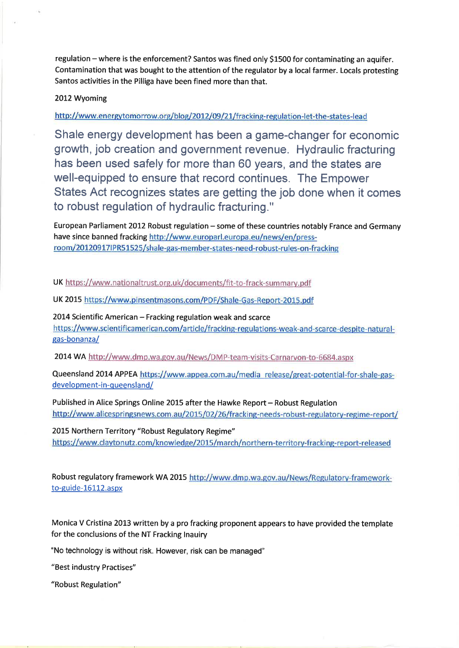regulation - where is the enforcement? Santos was fined only \$1500 for contaminating an aquifer. Contamination that was bought to the attention of the regulator by a local farmer. Locals protesting Santos activities in the Pilliga have been fined more than that.

2012 Wyoming

http://www.energytomorrow.org/blog/2012/09/21/fracking-regulation-let-the-states-lead

Shale energy development has been a game-changer for economic growth, job creation and government revenue. Hydraulic fracturing has been used safely for more than 60 years, and the states are well-equipped to ensure that record continues. The Empower States Act recognizes states are getting the job done when it comes to robust regulation of hydraulic fracturing."

European Parliament 2012 Robust regulation - some of these countries notably France and Germany have since banned fracking http://www.europarl.europa.eu/news/en/pressroom/20120917IPR51525/shale-gas-member-states-need-robust-rules-on-fracking

UK https://www.nationaltrust.org.uk/documents/fit-to-frack-summary.pdf

UK 2015 https://www.pinsentmasons.com/PDF/Shale-Gas-Report-2015.pdf

2014 Scientific American - Fracking regulation weak and scarce<br>https://www.scientificamerican.com/article/fracking-regulations-weak-and-scarce-despite-naturalgas-bonanza/

2014 WA http://www.dmp.wa.gov.au/News/DMP-team-visits-Carnaryon-to-6684.aspx

Queensland 2014 APPEA https://www.appea.com.au/media release/great-potential-for-shale-gasdevelopment-in-queensland/

Published in Alice Springs Online 2015 after the Hawke Report - Robust Regulation<br>http://www.alicespringsnews.com.au/2015/02/26/fracking-needs-robust-regulatory-regime-report/

2015 Northern Territory "Robust Regulatory Regime" https://www.claytonutz.com/knowledge/2015/march/northern-territory-fracking-report-released

Robust regulatory framework WA 2015 http://www.dmp.wa.gov.au/News/Regulatory-frameworkto-guide-16112.aspx

Monica V Cristina 20L3 written by a pro frackíng proponent appears to have provided the template for the conclusions of the NT Fracking lnauiry

"No technology is without risk. However, risk can be managed"

"Best industry Practises"

"Robust Regulation"